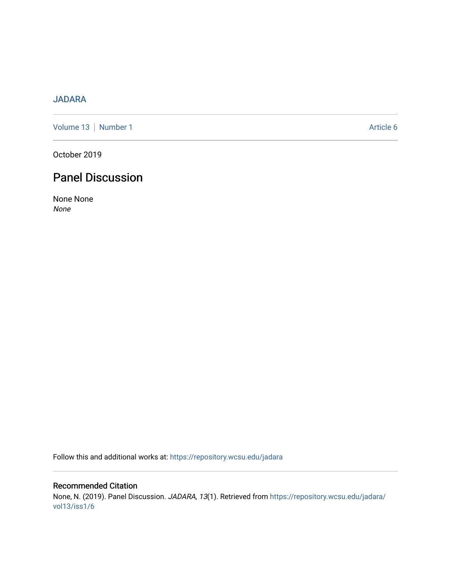# [JADARA](https://repository.wcsu.edu/jadara)

[Volume 13](https://repository.wcsu.edu/jadara/vol13) | [Number 1](https://repository.wcsu.edu/jadara/vol13/iss1) Article 6

October 2019

# Panel Discussion

None None None

Follow this and additional works at: [https://repository.wcsu.edu/jadara](https://repository.wcsu.edu/jadara?utm_source=repository.wcsu.edu%2Fjadara%2Fvol13%2Fiss1%2F6&utm_medium=PDF&utm_campaign=PDFCoverPages)

Recommended Citation None, N. (2019). Panel Discussion. JADARA, 13(1). Retrieved from [https://repository.wcsu.edu/jadara/](https://repository.wcsu.edu/jadara/vol13/iss1/6?utm_source=repository.wcsu.edu%2Fjadara%2Fvol13%2Fiss1%2F6&utm_medium=PDF&utm_campaign=PDFCoverPages) [vol13/iss1/6](https://repository.wcsu.edu/jadara/vol13/iss1/6?utm_source=repository.wcsu.edu%2Fjadara%2Fvol13%2Fiss1%2F6&utm_medium=PDF&utm_campaign=PDFCoverPages)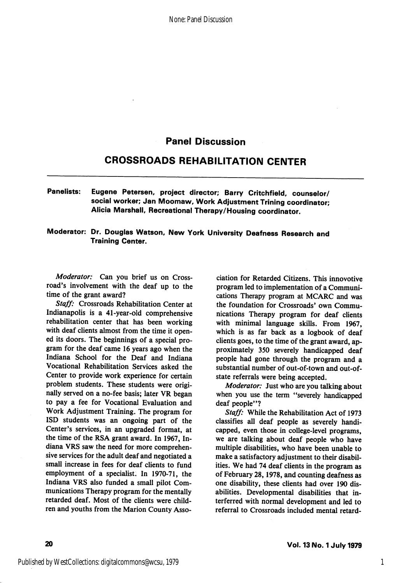# Panel Discussion

# CROSSROADS REHABILITATION CENTER

### Panelists: Eugene Petersen, project director; Barry Critchfieid, counselor/ social worker; Jan Moomaw, Work Adjustment Trining coordinator; Alicia Marshall, Recreational Therapy/Housing coordinator.

#### Moderator: Dr. Douglas Watson, New York University Deafness Research and Training Center.

Moderator: Can you brief us on Crossroad's involvement with the deaf up to the time of the grant award?

Staff: Crossroads Rehabilitation Center at Indianapolis is a 41-year-old comprehensive rehabilitation center that has been working with deaf clients almost from the time it open ed its doors. The beginnings of a special pro gram for the deaf came 16 years ago when the Indiana School for the Deaf and Indiana Vocational Rehabilitation Services asked the Center to provide work experience for certain problem students. These students were origi nally served on a no-fee basis; later VR began to pay a fee for Vocational Evaluation and Work Adjustment Training. The program for ISD students was an ongoing part of the Center's services, in an upgraded format, at the time of the RSA grant award. In 1967, In diana VRS saw the need for more comprehen sive services for the adult deaf and negotiated a small increase in fees for deaf clients to fund employment of a specialist. In 1970-71, the Indiana VRS also funded a small pilot Com munications Therapy program for the mentally retarded deaf. Most of the clients were child ren and youths from the Marion County Asso

ciation for Retarded Citizens. This innovotive program led to implementation of a Communi cations Therapy program at MCARC and was the foundation for Crossroads' own Commu nications Therapy program for deaf clients with minimal language skills. From 1967, which is as far back as a logbook of deaf clients goes, to the time of the grant award, ap proximately 350 severely handicapped deaf people had gone through the program and a substantial number of out-of-town and out-ofstate referrals were being accepted.

Moderator: Just who are you talking about when you use the term "severely handicapped deaf people"?

Staff: While the Rehabilitation Act of 1973 classifies all deaf people as severely handi capped, even those in college-level programs, we are talking about deaf people who have multiple disabilities, who have been unable to make a satisfactory adjustment to their disabil ities. We had 74 deaf clients in the program as of February 28,1978, and counting deafness as one disability, these clients had over 190 dis abilities. Developmental disabilities that interferred with normal development and led to referral to Crossroads included mental retard-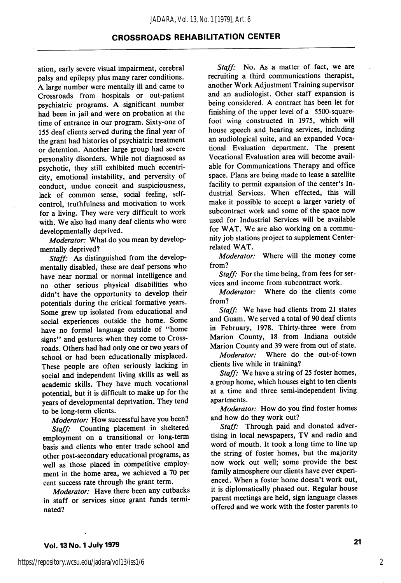### CROSSROADS REHABILITATION CENTER

ation, early severe visual impairment, cerebral palsy and epilepsy plus many rarer conditions. A large number were mentally ill and came to Crossroads from hospitals or out-patient psychiatric programs. A significant number had been in jail and were on probation at the time of entrance in our program. Sixty-one of 155 deaf clients served during the final year of the grant had histories of psychiatric treatment or detention. Another large group had severe personality disorders. While not diagnosed as psychotic, they still exhibited much eccentri city, emotional instability, and perversity of conduct, undue conceit and suspiciousness, lack of common sense, social feeling, selfcontrol, truthfulness and motivation to work for a living. They were very difficult to work with. We also had many deaf clients who were developmentally deprived.

Moderator: What do you mean by developmentally deprived?

Staff: As distinguished from the developmentally disabled, these are deaf persons who have near normal or normal intelligence and no other serious physical disabilities who didn't have the opportunity to develop their potentials during the critical formative years. Some grew up isolated from educational and social experiences outside the home. Some have no formal language outside of "home signs" and gestures when they come to Crossroads. Others had had only one or two years of school or had been educationally misplaced. These people are often seriously lacking in social and independent living skills as well as academic skills. They have much vocational potential, but it is difficult to make up for the years of developmental deprivation. They tend to be long-term clients.

Moderator: How successful have you been? Staff: Counting placement in sheltered employment on a transitional or long-term basis and clients who enter trade school and other post-secondary educational programs, as well as those placed in competitive employ ment in the home area, we achieved a 70 per cent success rate through the grant term.

Moderator: Have there been any cutbacks in staff or services since grant funds termi nated?

Staff: No. As a matter of fact, we are recruiting a third communications therapist, another Work Adjustment Training supervisor and an audiologist. Other staff expansion is being considered. A contract has been let for finishing of the upper level of a 5500-squarefoot wing constructed in 1975, which will house speech and hearing services, including an audiological suite, and an expanded Voca tional Evaluation department. The present Vocational Evaluation area will become avail able for Communications Therapy and office space. Plans are being made to lease a satellite facility to permit expansion of the center's In dustrial Services. When effected, this will make it possible to accept a larger variety of subcontract work and some of the space now used for Industrial Services will be available for WAT. We are also working on a commu nity job stations project to supplement Centerrelated WAT.

Moderator: Where will the money come from?

Staff: For the time being, from fees for services and income from subcontract work.

Moderator: Where do the clients come from?

Staff: We have had clients from 21 states and Guam. We served a total of 90 deaf clients in February, 1978. Thirty-three were from Marion County, 18 from Indiana outside Marion County and 39 were from out of state.

Moderator: Where do the out-of-town clients live while in training?

Staff: We have a string of 25 foster homes, a group home, which houses eight to ten clients at a time and three semi-independent living apartments.

Moderator: How do you find foster homes and how do they work out?

Staff: Through paid and donated advertising in local newspapers, TV and radio and word of mouth. It took a long time to line up the string of foster homes, but the majority now work out well; some provide the best family atmosphere our clients have ever experi enced. When a foster home doesn't work out, it is diplomatically phased out. Regular house parent meetings are held, sign language classes offered and we work with the foster parents to

2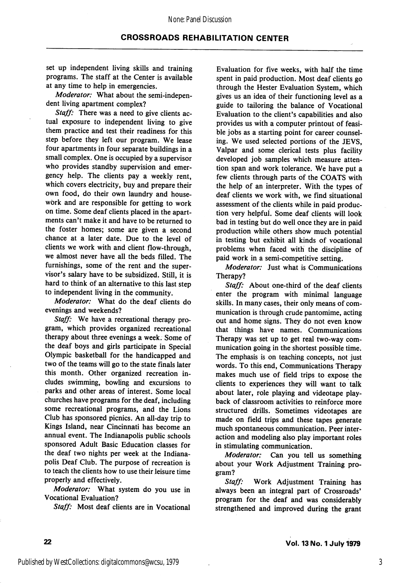set up independent living skills and training programs. The staff at the Center is available at any time to help in emergencies.

Moderator: What about the semi-independent living apartment complex?

Staff: There was a need to give clients actual exposure to independent living to give them practice and test their readiness for this step before they left our program. We lease four apartments in four separate buildings in a small complex. One is occupied by a supervisor who provides standby supervision and emer gency help. The clients pay a weekly rent, which covers electricity, buy and prepare their own food, do their own laundry and house work and are responsible for getting to work on time. Some deaf clients placed in the apart ments can't make it and have to be returned to the foster homes; some are given a second chance at a later date. Due to the level of clients we work with and client flow-through, we almost never have all the beds filled. The furnishings, some of the rent and the super visor's salary have to be subsidized. Still, it is hard to think of an alternative to this last step to independent living in the community.

Moderator: What do the deaf clients do evenings and weekends?

Staff: We have a recreational therapy program, which provides organized recreational therapy about three evenings a week. Some of the deaf boys and girls participate in Special Olympic basketball for the handicapped and two of the teams will go to the state finals later this month. Other organized recreation in cludes swimming, bowling and excursions to parks and other areas of interest. Some local churches have programs for the deaf, including some recreational programs, and the Lions Club has sponsored picnics. An all-day trip to Kings Island, near Cincinnati has become an annual event. The Indianapolis public schools sponsored Adult Basic Education classes for the deaf two nights per week at the Indiana polis Deaf Club. The purpose of recreation is to teach the clients how to use their leisure time properly and effectively.

Moderator: What system do you use in Vocational Evaluation?

Staff: Most deaf clients are in Vocational

Evaluation for five weeks, with half the time spent in paid production. Most deaf clients go through the Hester Evaluation System, which gives us an idea of their functioning level as a guide to tailoring the balance of Vocational Evaluation to the client's capabilities and also provides us with a computer printout of feasi ble jobs as a starting point for career counsel ing. We used selected portions of the JEVS, Valpar and some clerical tests plus facility developed job samples which measure atten tion span and work tolerance. We have put a few clients through parts of the COATS with the help of an interpreter. With the types of deaf clients we work with, we find situational assessment of the clients while in paid produc tion very helpful. Some deaf clients will look bad in testing but do well once they are in paid production while others show much potential in testing but exhibit all kinds of vocational problems when faced with the discipline of paid work in a semi-competitive setting.

Moderator: Just what is Communications Therapy?

Staff: About one-third of the deaf clients enter the program with minimal language skills. In many cases, their only means of com munication is through crude pantomime, acting out and home signs. They do not even know that things have names. Communications Therapy was set up to get real two-way com munication going in the shortest possible time. The emphasis is on teaching concepts, not just words. To this end. Communications Therapy makes much use of field trips to expose the clients to experiences they will want to talk about later, role playing and videotape play back of classroom activities to reinforce more structured drills. Sometimes videotapes are made on field trips and these tapes generate much spontaneous communication. Peer inter action and modeling also play important roles in stimulating communication.

Moderator: Can you tell us something about your Work Adjustment Training pro gram?

Staff: Work Adjustment Training has always been an integral part of Crossroads' program for the deaf and was considerably strengthened and improved during the grant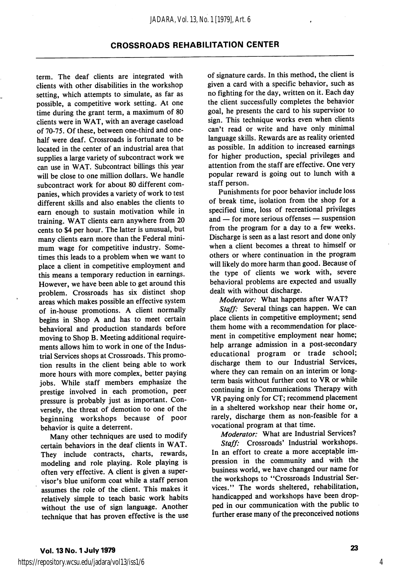### CROSSROADS REHABILITATION CENTER

term. The deaf clients are integrated with clients with other disabilities in the workshop setting, which attempts to simulate, as far as possible, a competitive work setting. At one time during the grant term, a maximum of 80 clients were in WAT, with an average caseload of 70-75. Of these, between one-third and onehalf were deaf. Crossroads is fortunate to be located in the center of an industrial area that supplies a large variety of subcontract work we can use in WAT. Subcontract billings this year will be close to one million dollars. We handle subcontract work for about 80 different com panies, which provides a variety of work to test different skills and also enables the clients to earn enough to sustain motivation while in training. WAT clients earn anywhere from 20 cents to \$4 per hour. The latter is unusual, but many clients earn more than the Federal mini mum wage for competitive industry. Some times this leads to a problem when we want to place a client in competitive employment and this means a temporary reduction in earnings. However, we have been able to get around this problem. Crossroads has six distinct shop areas which makes possible an effective system of in-house promotions. A client normally begins in Shop A and has to meet certain behavioral and production standards before moving to Shop B. Meeting additional require ments allows him to work in one of the Indus trial Services shops at Crossroads. This promo tion results in the client being able to work more hours with more complex, better paying jobs. While staff members emphasize the prestige involved in each promotion, peer pressure is probably just as important. Con versely, the threat of demotion to one of the beginning workshops because of poor behavior is quite a deterrent.

Many other techniques are used to modify certain behaviors in the deaf clients in WAT. They include contracts, charts, rewards, modeling and role playing. Role playing is often very effective. A client is given a super visor's blue uniform coat while a staff person assumes the role of the client. This makes it relatively simple to teach basic work habits without the use of sign language. Another technique that has proven effective is the use of signature cards. In this method, the client is given a card with a specific behavior, such as no fighting for the day, written on it. Each day the client successfully completes the behavior goal, he presents the card to his supervisor to sign. This technique works even when clients can't read or write and have only minimal language skills. Rewards are as reality oriented as possible. In addition to increased earnings for higher production, special privileges and attention from the staff are effective. One very popular reward is going out to lunch with a staff person.

Punishments for poor behavior include loss of break time, isolation from the shop for a specified time, loss of recreational privileges and — for more serious offenses — suspension from the program for a day to a few weeks. Discharge is seen as a last resort and done only when a client becomes a threat to himself or others or where continuation in the program will likely do more harm than good. Because of the type of clients we work with, severe behavioral problems are expected and usually dealt with without discharge.

Moderator: What happens after WAT?

Staff: Several things can happen. We can place clients in competitive employment; send them home with a recommendation for place ment in competitive employment near home; help arrange admission in a post-secondary educational program or trade school; discharge them to our Industrial Services, where they can remain on an interim or longterm basis without further cost to VR or while continuing in Communications Therapy with VR paying only for CT; recommend placement in a sheltered workshop near their home or, rarely, discharge them as non-feasible for a vocational program at that time.

Moderator: What are Industrial Services? Staff: Crossroads' Industrial workshops. In an effort to create a more acceptable im pression in the community and with the business world, we have changed our name for the workshops to "Crossroads Industrial Services." The words sheltered, rehabilitation, handicapped and workshops have been drop ped in our communication with the public to further erase many of the preconceived notions

4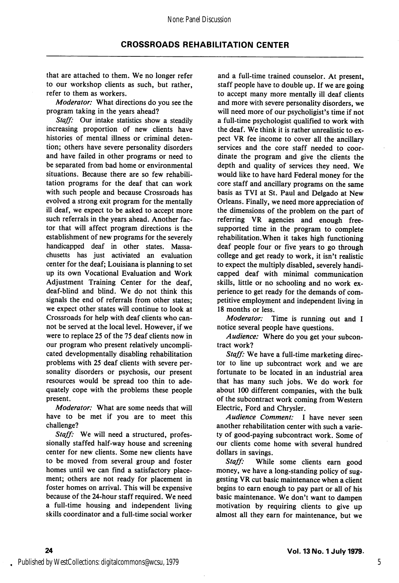that are attached to them. We no longer refer to our workshop clients as such, but rather, refer to them as workers.

Moderator: What directions do you see the program taking in the years ahead?

Staff: Our intake statistics show a steadily increasing proportion of new clients have histories of mental illness or criminal deten tion; others have severe personality disorders and have failed in other programs or need to be separated from bad home or environmental situations. Because there are so few rehabili tation programs for the deaf that can work with such people and because Crossroads has evolved a strong exit program for the mentally ill deaf, we expect to be asked to accept more such referrals in the years ahead. Another fac tor that will affect program directions is the establishment of new programs for the severely handicapped deaf in other states. Massa chusetts has just activiated an evaluation center for the deaf; Louisiana is planning to set up its own Vocational Evaluation and Work Adjustment Training Center for the deaf, deaf-blind and blind. We do not think this signals the end of referrals from other states; we expect other states will continue to look at Crossroads for help with deaf clients who can not be served at the local level. However, if we were to replace 25 of the 75 deaf clients now in our program who present relatively uncompli cated developmentally disabling rehabilitation problems with 25 deaf clients with severe per sonality disorders or psychosis, our present resources would be spread too thin to ade quately cope with the problems these people present.

Moderator: What are some needs that will have to be met if you are to meet this challenge?

Staff: We will need a structured, professionally staffed half-way house and screening center for new clients. Some new clients have to be moved from several group and foster homes until we can find a satisfactory place ment; others are not ready for placement in foster homes on arrival. This will be expensive because of the 24-hour staff required. We need a full-time housing and independent living skills coordinator and a full-time social worker

and a full-time trained counselor. At present, staff people have to double up. If we are going to accept many more mentally ill deaf clients and more with severe personality disorders, we will need more of our psycholigist's time if not a full-time psychologist qualified to work with the deaf. We think it is rather unrealistic to ex pect VR fee income to cover all the ancillary services and the core staff needed to coor dinate the program and give the clients the depth and quality of services they need. We would like to have hard Federal money for the core staff and ancillary programs on the same basis as TVI at St. Paul and Delgado at New Orleans. Finally, we need more appreciation of the dimensions of the problem on the part of referring VR agencies and enough freesupported time in the program to complete rehabilitation.When it takes high functioning deaf people four or five years to go through college and get ready to work, it isn't realistic to expect the multiply disabled, severely handi capped deaf with minimal communication skills, little or no schooling and no work ex perience to get ready for the demands of com petitive employment and independent living in 18 months or less.

Moderator: Time is running out and I notice several people have questions.

Audience: Where do you get your subcontract work?

Staff: We have a full-time marketing director to line up subcontract work and we are fortunate to be located in an industrial area that has many such jobs. We do work for about 100 different companies, with the bulk of the subcontract work coming from Western Electric, Ford and Chrysler.

Audience Comment: I have never seen another rehabilitation center with such a varie ty of good-paying subcontract work. Some of our clients come home with several hundred dollars in savings.

Staff: While some clients earn good money, we have a long-standing policy of sug gesting VR cut basic maintenance when a client begins to earn enough to pay part or all of his basic maintenance. We don't want to dampen motivation by requiring clients to give up almost all they earn for maintenance, but we